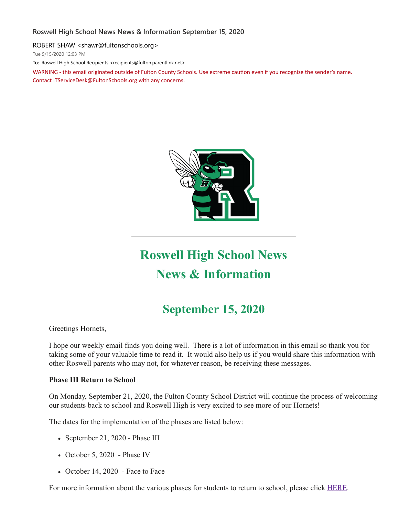#### **Roswell High School News News & Information September 15, 2020**

ROBERT SHAW <shawr@fultonschools.org>

Tue 9/15/2020 12:03 PM

**To:** Roswell High School Recipients <recipients@fulton.parentlink.net>

WARNING - this email originated outside of Fulton County Schools. Use extreme caution even if you recognize the sender's name. Contact ITServiceDesk@FultonSchools.org with any concerns.



# **Roswell High School News News & Information**

# **September 15, 2020**

Greetings Hornets,

I hope our weekly email finds you doing well. There is a lot of information in this email so thank you for taking some of your valuable time to read it. It would also help us if you would share this information with other Roswell parents who may not, for whatever reason, be receiving these messages.

#### **Phase III Return to School**

On Monday, September 21, 2020, the Fulton County School District will continue the process of welcoming our students back to school and Roswell High is very excited to see more of our Hornets!

The dates for the implementation of the phases are listed below:

- September 21, 2020 Phase III
- October 5, 2020 Phase IV
- October 14, 2020 Face to Face

For more information about the various phases for students to return to school, please click [HERE](https://www.fultonschools.org/phase1).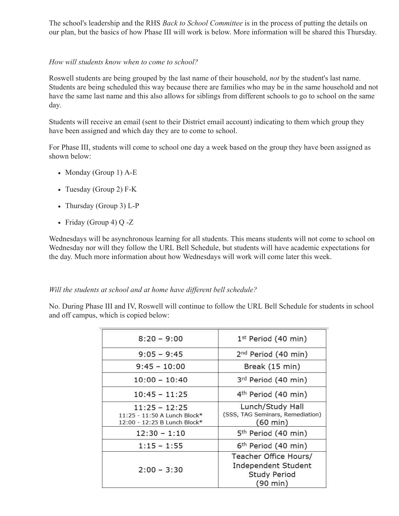The school's leadership and the RHS *Back to School Committee* is in the process of putting the details on our plan, but the basics of how Phase III will work is below. More information will be shared this Thursday.

#### *How will students know when to come to school?*

Roswell students are being grouped by the last name of their household, *not* by the student's last name. Students are being scheduled this way because there are families who may be in the same household and not have the same last name and this also allows for siblings from different schools to go to school on the same day.

Students will receive an email (sent to their District email account) indicating to them which group they have been assigned and which day they are to come to school.

For Phase III, students will come to school one day a week based on the group they have been assigned as shown below:

- Monday (Group 1) A-E
- Tuesday (Group 2) F-K
- Thursday (Group 3) L-P
- Friday (Group 4) Q -Z

Wednesdays will be asynchronous learning for all students. This means students will not come to school on Wednesday nor will they follow the URL Bell Schedule, but students will have academic expectations for the day. Much more information about how Wednesdays will work will come later this week.

#### *Will the students at school and at home have dif erent bell schedule?*

No. During Phase III and IV, Roswell will continue to follow the URL Bell Schedule for students in school and off campus, which is copied below:

| $8:20 - 9:00$                                                                   | 1st Period (40 min)                                                                       |
|---------------------------------------------------------------------------------|-------------------------------------------------------------------------------------------|
| $9:05 - 9:45$                                                                   | 2 <sup>nd</sup> Period (40 min)                                                           |
| $9:45 - 10:00$                                                                  | Break (15 min)                                                                            |
| $10:00 - 10:40$                                                                 | 3rd Period (40 min)                                                                       |
| $10:45 - 11:25$                                                                 | 4 <sup>th</sup> Period (40 min)                                                           |
| $11:25 - 12:25$<br>11:25 - 11:50 A Lunch Block*<br>12:00 - 12:25 B Lunch Block* | Lunch/Study Hall<br>(SSS, TAG Seminars, Remediation)<br>(60 min)                          |
| $12:30 - 1:10$                                                                  | 5 <sup>th</sup> Period (40 min)                                                           |
| $1:15 - 1:55$                                                                   | 6 <sup>th</sup> Period (40 min)                                                           |
| $2:00 - 3:30$                                                                   | Teacher Office Hours/<br>Independent Student<br><b>Study Period</b><br>$(90 \text{ min})$ |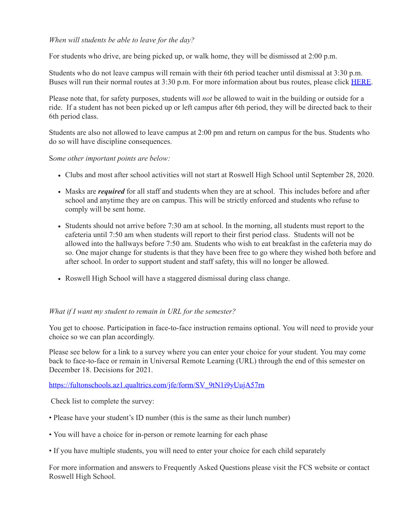#### *When will students be able to leave for the day?*

For students who drive, are being picked up, or walk home, they will be dismissed at 2:00 p.m.

Students who do not leave campus will remain with their 6th period teacher until dismissal at 3:30 p.m. Buses will run their normal routes at 3:30 p.m. For more information about bus routes, please click [HERE](https://www.fultonschools.org/transportation).

Please note that, for safety purposes, students will *not* be allowed to wait in the building or outside for a ride. If a student has not been picked up or left campus after 6th period, they will be directed back to their 6th period class.

Students are also not allowed to leave campus at 2:00 pm and return on campus for the bus. Students who do so will have discipline consequences.

S*ome other important points are below:*

- Clubs and most after school activities will not start at Roswell High School until September 28, 2020.
- Masks are *required* for all staff and students when they are at school. This includes before and after school and anytime they are on campus. This will be strictly enforced and students who refuse to comply will be sent home.
- Students should not arrive before 7:30 am at school. In the morning, all students must report to the cafeteria until 7:50 am when students will report to their first period class. Students will not be allowed into the hallways before 7:50 am. Students who wish to eat breakfast in the cafeteria may do so. One major change for students is that they have been free to go where they wished both before and after school. In order to support student and staff safety, this will no longer be allowed.
- Roswell High School will have a staggered dismissal during class change.

#### *What if I want my student to remain in URL for the semester?*

You get to choose. Participation in face-to-face instruction remains optional. You will need to provide your choice so we can plan accordingly.

Please see below for a link to a survey where you can enter your choice for your student. You may come back to face-to-face or remain in Universal Remote Learning (URL) through the end of this semester on December 18. Decisions for 2021.

#### [https://fultonschools.az1.qualtrics.com/jfe/form/SV\\_9tN1i9yUujA57rn](https://nam03.safelinks.protection.outlook.com/?url=https%3A%2F%2Ffultonschools.az1.qualtrics.com%2Fjfe%2Fform%2FSV_9tN1i9yUujA57rn&data=02%7C01%7Cbrownd12%40fultonschools.org%7C8bfeaac1993141b5616208d85990c92b%7C0cdcb19881694b70ba9fda7e3ba700c2%7C1%7C0%7C637357825810361393&sdata=F0HhJ1rPOnTe3iUZzsIINeNU189r4z%2FBHf2OJ87Q62g%3D&reserved=0)

Check list to complete the survey:

- Please have your student's ID number (this is the same as their lunch number)
- You will have a choice for in-person or remote learning for each phase
- If you have multiple students, you will need to enter your choice for each child separately

For more information and answers to Frequently Asked Questions please visit the FCS website or contact Roswell High School.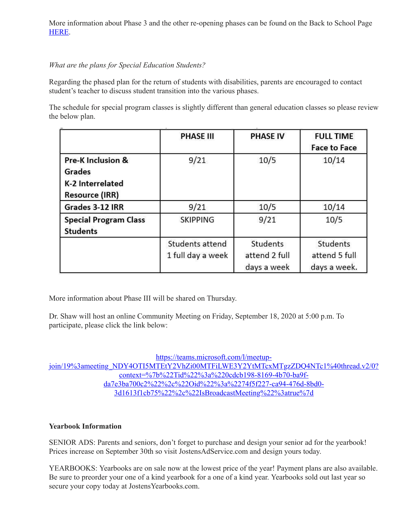More information about Phase 3 and the other re-opening phases can be found on the Back to School Page [HERE.](https://www.fultonschools.org/phase3)

# *What are the plans for Special Education Students?*

Regarding the phased plan for the return of students with disabilities, parents are encouraged to contact student's teacher to discuss student transition into the various phases.

The schedule for special program classes is slightly different than general education classes so please review the below plan.

|                                                                          | <b>PHASE III</b>                     | <b>PHASE IV</b>                          | <b>FULL TIME</b><br><b>Face to Face</b>   |
|--------------------------------------------------------------------------|--------------------------------------|------------------------------------------|-------------------------------------------|
| Pre-K Inclusion &<br>Grades<br>K-2 Interrelated<br><b>Resource (IRR)</b> | 9/21                                 | 10/5                                     | 10/14                                     |
| Grades 3-12 IRR                                                          | 9/21                                 | 10/5                                     | 10/14                                     |
| <b>Special Program Class</b><br><b>Students</b>                          | <b>SKIPPING</b>                      | 9/21                                     | 10/5                                      |
|                                                                          | Students attend<br>1 full day a week | Students<br>attend 2 full<br>days a week | Students<br>attend 5 full<br>days a week. |

More information about Phase III will be shared on Thursday.

Dr. Shaw will host an online Community Meeting on Friday, September 18, 2020 at 5:00 p.m. To participate, please click the link below:

https://teams.microsoft.com/l/meetup[join/19%3ameeting\\_NDY4OTI5MTEtY2VhZi00MTFiLWE3Y2YtMTcxMTgzZDQ4NTc1%40thread.v2/0?](https://teams.microsoft.com/l/meetup-join/19:meeting_NDY4OTI5MTEtY2VhZi00MTFiLWE3Y2YtMTcxMTgzZDQ4NTc1@thread.v2/0?context=%7b%22Tid%22%3a%220cdcb198-8169-4b70-ba9f-da7e3ba700c2%22%2c%22Oid%22%3a%2274f5f227-ca94-476d-8bd0-3d1613f1cb75%22%2c%22IsBroadcastMeeting%22%3atrue%7d) context=%7b%22Tid%22%3a%220cdcb198-8169-4b70-ba9fda7e3ba700c2%22%2c%22Oid%22%3a%2274f5f227-ca94-476d-8bd0- 3d1613f1cb75%22%2c%22IsBroadcastMeeting%22%3atrue%7d

#### **Yearbook Information**

SENIOR ADS: Parents and seniors, don't forget to purchase and design your senior ad for the yearbook! Prices increase on September 30th so visit JostensAdService.com and design yours today.

YEARBOOKS: Yearbooks are on sale now at the lowest price of the year! Payment plans are also available. Be sure to preorder your one of a kind yearbook for a one of a kind year. Yearbooks sold out last year so secure your copy today at JostensYearbooks.com.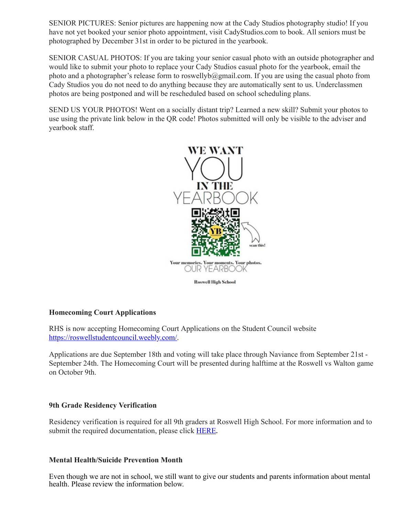SENIOR PICTURES: Senior pictures are happening now at the Cady Studios photography studio! If you have not yet booked your senior photo appointment, visit CadyStudios.com to book. All seniors must be photographed by December 31st in order to be pictured in the yearbook.

SENIOR CASUAL PHOTOS: If you are taking your senior casual photo with an outside photographer and would like to submit your photo to replace your Cady Studios casual photo for the yearbook, email the photo and a photographer's release form to roswellyb@gmail.com. If you are using the casual photo from Cady Studios you do not need to do anything because they are automatically sent to us. Underclassmen photos are being postponed and will be rescheduled based on school scheduling plans.

SEND US YOUR PHOTOS! Went on a socially distant trip? Learned a new skill? Submit your photos to use using the private link below in the QR code! Photos submitted will only be visible to the adviser and yearbook staff.



#### **Homecoming Court Applications**

RHS is now accepting Homecoming Court Applications on the Student Council website [https://roswellstudentcouncil.weebly.com/](https://nam03.safelinks.protection.outlook.com/?url=https%3A%2F%2Froswellstudentcouncil.weebly.com%2F&data=02%7C01%7Cbrownd12%40fultonschools.org%7C8bfeaac1993141b5616208d85990c92b%7C0cdcb19881694b70ba9fda7e3ba700c2%7C1%7C0%7C637357825810371379&sdata=joUIoOXp5fe1%2FOwSMXkEeNOnCfNXk4kozsyXodDiAuc%3D&reserved=0).

Applications are due September 18th and voting will take place through Naviance from September 21st - September 24th. The Homecoming Court will be presented during halftime at the Roswell vs Walton game on October 9th.

#### **9th Grade Residency Verification**

Residency verification is required for all 9th graders at Roswell High School. For more information and to submit the required documentation, please click [HERE](https://www.fultonschools.org/Page/20465)**.**

#### **Mental Health/Suicide Prevention Month**

Even though we are not in school, we still want to give our students and parents information about mental health. Please review the information below.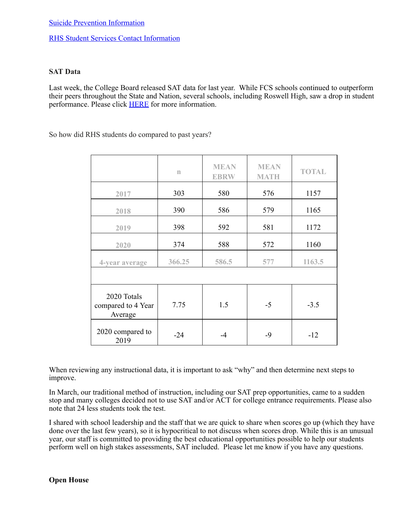#### RHS Student Services Contact [Information](https://nam03.safelinks.protection.outlook.com/?url=http%3A%2F%2Fnew.shawadmin.com%2FRoswell%2FPublic%2Fstudentservices.pdf&data=02%7C01%7Cbrownd12%40fultonschools.org%7C8bfeaac1993141b5616208d85990c92b%7C0cdcb19881694b70ba9fda7e3ba700c2%7C1%7C0%7C637357825810381373&sdata=BNT757bma%2F9O9sRlqWT9BuQydtmrJv%2BP%2BmyIwEuDkto%3D&reserved=0)

#### **SAT Data**

Last week, the College Board released SAT data for last year. While FCS schools continued to outperform their peers throughout the State and Nation, several schools, including Roswell High, saw a drop in student performance. Please click **[HERE](https://www.fultonschools.org/site/default.aspx?PageType=3&DomainID=4&ModuleInstanceID=7115&ViewID=6446EE88-D30C-497E-9316-3F8874B3E108&RenderLoc=0&FlexDataID=84946&PageID=1)** for more information.

So how did RHS students do compared to past years?

|                                              | $\mathbbm{n}$ | <b>MEAN</b><br><b>EBRW</b> | <b>MEAN</b><br><b>MATH</b> | <b>TOTAL</b> |
|----------------------------------------------|---------------|----------------------------|----------------------------|--------------|
| 2017                                         | 303           | 580                        | 576                        | 1157         |
| 2018                                         | 390           | 586                        | 579                        | 1165         |
| 2019                                         | 398           | 592                        | 581                        | 1172         |
| 2020                                         | 374           | 588                        | 572                        | 1160         |
| 4-year average                               | 366.25        | 586.5                      | 577                        | 1163.5       |
|                                              |               |                            |                            |              |
| 2020 Totals<br>compared to 4 Year<br>Average | 7.75          | 1.5                        | $-5$                       | $-3.5$       |
| 2020 compared to<br>2019                     | $-24$         | $-4$                       | -9                         | $-12$        |

When reviewing any instructional data, it is important to ask "why" and then determine next steps to improve.

In March, our traditional method of instruction, including our SAT prep opportunities, came to a sudden stop and many colleges decided not to use SAT and/or ACT for college entrance requirements. Please also note that 24 less students took the test.

I shared with school leadership and the staff that we are quick to share when scores go up (which they have done over the last few years), so it is hypocritical to not discuss when scores drop. While this is an unusual year, our staff is committed to providing the best educational opportunities possible to help our students perform well on high stakes assessments, SAT included. Please let me know if you have any questions.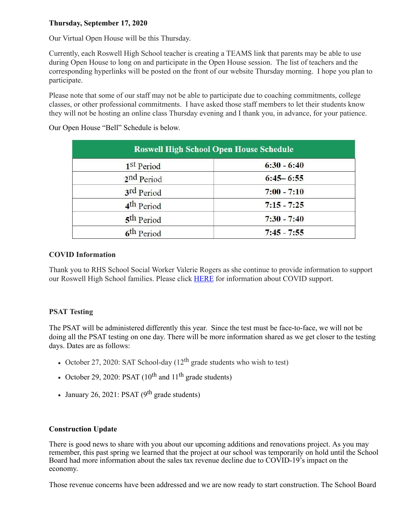### **Thursday, September 17, 2020**

Our Virtual Open House will be this Thursday.

Currently, each Roswell High School teacher is creating a TEAMS link that parents may be able to use during Open House to long on and participate in the Open House session. The list of teachers and the corresponding hyperlinks will be posted on the front of our website Thursday morning. I hope you plan to participate.

Please note that some of our staff may not be able to participate due to coaching commitments, college classes, or other professional commitments. I have asked those staff members to let their students know they will not be hosting an online class Thursday evening and I thank you, in advance, for your patience.

| <b>Roswell High School Open House Schedule</b> |               |  |  |
|------------------------------------------------|---------------|--|--|
| 1 <sup>st</sup> Period                         | $6:30 - 6:40$ |  |  |
| 2 <sup>nd</sup> Period                         | $6:45 - 6:55$ |  |  |
| 3rd Period                                     | $7:00 - 7:10$ |  |  |
| 4 <sup>th</sup> Period                         | $7:15 - 7:25$ |  |  |
| 5 <sup>th</sup> Period                         | $7:30 - 7:40$ |  |  |
| 6 <sup>th</sup> Period                         | $7:45 - 7:55$ |  |  |

Our Open House "Bell" Schedule is below.

#### **COVID Information**

Thank you to RHS School Social Worker Valerie Rogers as she continue to provide information to support our Roswell High School families. Please click [HERE](https://nam03.safelinks.protection.outlook.com/?url=http%3A%2F%2Fnew.shawadmin.com%2FRoswell%2FPublic%2Fcovidchecklist.pdf&data=02%7C01%7Cbrownd12%40fultonschools.org%7C8bfeaac1993141b5616208d85990c92b%7C0cdcb19881694b70ba9fda7e3ba700c2%7C1%7C0%7C637357825810381373&sdata=2EE4H5TRVJGdnhLxLCrr5OJXI0HqmvdZfvBoj9QN5xc%3D&reserved=0) for information about COVID support.

## **PSAT Testing**

The PSAT will be administered differently this year. Since the test must be face-to-face, we will not be doing all the PSAT testing on one day. There will be more information shared as we get closer to the testing days. Dates are as follows:

- October 27, 2020: SAT School-day  $(12^{th}$  grade students who wish to test)
- October 29, 2020: PSAT  $(10^{th}$  and  $11^{th}$  grade students)
- January 26, 2021: PSAT  $(9^{th}$  grade students)

#### **Construction Update**

There is good news to share with you about our upcoming additions and renovations project. As you may remember, this past spring we learned that the project at our school was temporarily on hold until the School Board had more information about the sales tax revenue decline due to COVID-19's impact on the economy.

Those revenue concerns have been addressed and we are now ready to start construction. The School Board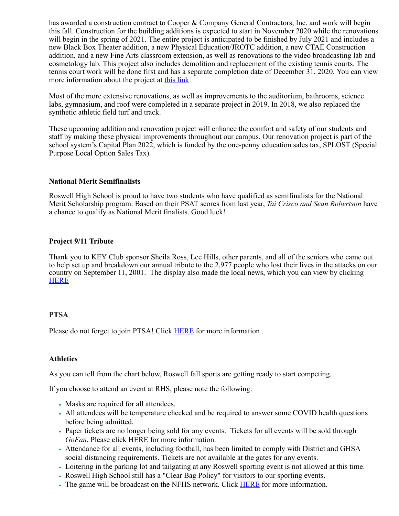has awarded a construction contract to Cooper & Company General Contractors, Inc. and work will begin this fall. Construction for the building additions is expected to start in November 2020 while the renovations will begin in the spring of 2021. The entire project is anticipated to be finished by July 2021 and includes a new Black Box Theater addition, a new Physical Education/JROTC addition, a new CTAE Construction addition, and a new Fine Arts classroom extension, as well as renovations to the video broadcasting lab and cosmetology lab. This project also includes demolition and replacement of the existing tennis courts. The tennis court work will be done first and has a separate completion date of December 31, 2020. You can view more information about the project at this [link.](https://www.fultonschools.org/cms/lib/GA50000114/Centricity/Domain/334/FINAL%20Graphic-Roswell%20HS-Community%20Info.pdf)

Most of the more extensive renovations, as well as improvements to the auditorium, bathrooms, science labs, gymnasium, and roof were completed in a separate project in 2019. In 2018, we also replaced the synthetic athletic field turf and track.

These upcoming addition and renovation project will enhance the comfort and safety of our students and staff by making these physical improvements throughout our campus. Our renovation project is part of the school system's Capital Plan 2022, which is funded by the one-penny education sales tax, SPLOST (Special Purpose Local Option Sales Tax).

#### **National Merit Semifinalists**

Roswell High School is proud to have two students who have qualified as semifinalists for the National Merit Scholarship program. Based on their PSAT scores from last year, *Tai Crisco and Sean Robertson* have a chance to qualify as National Merit finalists. Good luck!

#### **Project 9/11 Tribute**

Thank you to KEY Club sponsor Sheila Ross, Lee Hills, other parents, and all of the seniors who came out to help set up and breakdown our annual tribute to the 2,977 people who lost their lives in the attacks on our country on September 11, 2001. The display also made the local news, which you can view by clicking [HERE](https://nam03.safelinks.protection.outlook.com/?url=https%3A%2F%2Fwww.streamslist.com%2FPlayer%3FClipId%3D%2CS%2C202009%2C7276D6B6-F3EB-4FBD-B417-F323132C3B4A%26ReqServer%3DNDS5%255CNDS5%26QueryName%3DFulton%2520County%2520Schools%26Offset%3D871%26rai%3D91629e00-4f88-11d7-80a6-00b0d020616e%26ran%3DMetroMonitor%26roi%3D91629e00-4f88-11d7-80a6-00b0d020616e%26ron%3DMetroMonitor%26run%3D%26rut%3D0%26E%3D12gY274Y(77X2WIY2i4Yr74q(74c(i%26Time%3D12gf(74f(74f2VvYiV4lb74f(74f2Vvq(2%26Related%3DPV_12%26pbp%3DY&data=02%7C01%7Cbrownd12%40fultonschools.org%7C8bfeaac1993141b5616208d85990c92b%7C0cdcb19881694b70ba9fda7e3ba700c2%7C1%7C0%7C637357825810391366&sdata=G0w5hK1SqCMiSBZ6Gj9443l9M7B2Kfv3ux4pawBrf1k%3D&reserved=0)

#### **PTSA**

Please do not forget to join PTSA! Click [HERE](https://nam03.safelinks.protection.outlook.com/?url=https%3A%2F%2Froswellhsptsa.new.memberhub.store%2Fstore&data=02%7C01%7Cbrownd12%40fultonschools.org%7C8bfeaac1993141b5616208d85990c92b%7C0cdcb19881694b70ba9fda7e3ba700c2%7C1%7C0%7C637357825810391366&sdata=iaDtlSONlF0q41fe9Abx9%2FUCOCowA6ehnDViTV0F79E%3D&reserved=0) for more information.

#### **Athletics**

As you can tell from the chart below, Roswell fall sports are getting ready to start competing.

If you choose to attend an event at RHS, please note the following:

- Masks are required for all attendees.
- All attendees will be temperature checked and be required to answer some COVID health questions before being admitted.
- Paper tickets are no longer being sold for any events. Tickets for all events will be sold through *GoFan*. Please click [HERE](https://nam03.safelinks.protection.outlook.com/?url=https%3A%2F%2Fgofan.co%2Fapp%2Fschool%2FGA5282&data=02%7C01%7Cbrownd12%40fultonschools.org%7C8bfeaac1993141b5616208d85990c92b%7C0cdcb19881694b70ba9fda7e3ba700c2%7C1%7C0%7C637357825810391366&sdata=EyJROSVbpc5%2BqkoRYGSEAcFTdD9U1ZuO%2B7DJBESwJpo%3D&reserved=0) for more information.
- Attendance for all events, including football, has been limited to comply with District and GHSA social distancing requirements. Tickets are not available at the gates for any events.
- Loitering in the parking lot and tailgating at any Roswell sporting event is not allowed at this time.
- Roswell High School still has a "Clear Bag Policy" for visitors to our sporting events.
- The game will be broadcast on the NFHS network. Click **[HERE](https://nam03.safelinks.protection.outlook.com/?url=https%3A%2F%2Froswellathletics.org%2F2020%2F09%2F15%2Fgow-fan-viewing-score-options%2F&data=02%7C01%7Cbrownd12%40fultonschools.org%7C8bfeaac1993141b5616208d85990c92b%7C0cdcb19881694b70ba9fda7e3ba700c2%7C1%7C0%7C637357825810401363&sdata=EiylmnykdByv0wPr9ajmIDZhOp8tkw28hc52QlQn99I%3D&reserved=0)** for more information.